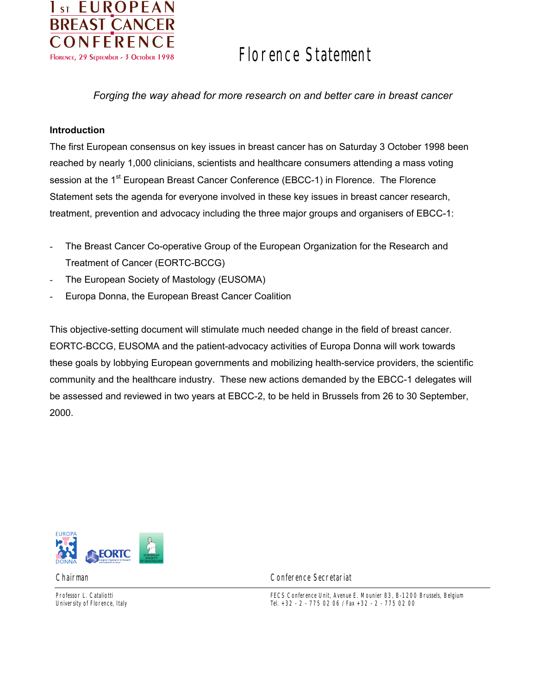

## Florence Statement

## *Forging the way ahead for more research on and better care in breast cancer*

## **Introduction**

The first European consensus on key issues in breast cancer has on Saturday 3 October 1998 been reached by nearly 1,000 clinicians, scientists and healthcare consumers attending a mass voting session at the 1<sup>st</sup> European Breast Cancer Conference (EBCC-1) in Florence. The Florence Statement sets the agenda for everyone involved in these key issues in breast cancer research, treatment, prevention and advocacy including the three major groups and organisers of EBCC-1:

- The Breast Cancer Co-operative Group of the European Organization for the Research and Treatment of Cancer (EORTC-BCCG)
- The European Society of Mastology (EUSOMA)
- Europa Donna, the European Breast Cancer Coalition

This objective-setting document will stimulate much needed change in the field of breast cancer. EORTC-BCCG, EUSOMA and the patient-advocacy activities of Europa Donna will work towards these goals by lobbying European governments and mobilizing health-service providers, the scientific community and the healthcare industry. These new actions demanded by the EBCC-1 delegates will be assessed and reviewed in two years at EBCC-2, to be held in Brussels from 26 to 30 September, 2000.



Chairman Conference Secretariat

Professor L. Cataliotti FECS Conference Unit, Avenue E. Mounier 83, B-1200 Brussels, Belgium<br>
University of Florence, Italy San Andreas States States Tel. +32 - 2 - 775 02 06 / Fax +32 - 2 - 775 02 00 Tel. +32 - 2 - 775 02 06 / Fax +32 - 2 - 775 02 00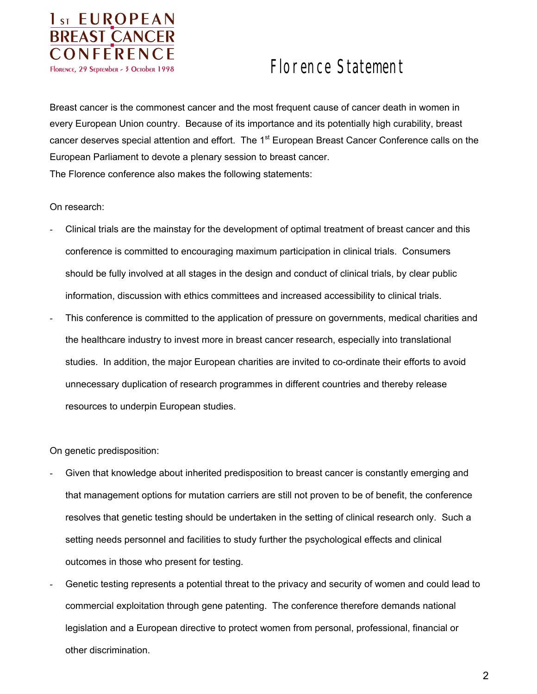

## Florence Statement

Breast cancer is the commonest cancer and the most frequent cause of cancer death in women in every European Union country. Because of its importance and its potentially high curability, breast cancer deserves special attention and effort. The 1<sup>st</sup> European Breast Cancer Conference calls on the European Parliament to devote a plenary session to breast cancer. The Florence conference also makes the following statements:

On research:

- Clinical trials are the mainstay for the development of optimal treatment of breast cancer and this conference is committed to encouraging maximum participation in clinical trials. Consumers should be fully involved at all stages in the design and conduct of clinical trials, by clear public information, discussion with ethics committees and increased accessibility to clinical trials.
- This conference is committed to the application of pressure on governments, medical charities and the healthcare industry to invest more in breast cancer research, especially into translational studies. In addition, the major European charities are invited to co-ordinate their efforts to avoid unnecessary duplication of research programmes in different countries and thereby release resources to underpin European studies.

On genetic predisposition:

- Given that knowledge about inherited predisposition to breast cancer is constantly emerging and that management options for mutation carriers are still not proven to be of benefit, the conference resolves that genetic testing should be undertaken in the setting of clinical research only. Such a setting needs personnel and facilities to study further the psychological effects and clinical outcomes in those who present for testing.
- Genetic testing represents a potential threat to the privacy and security of women and could lead to commercial exploitation through gene patenting. The conference therefore demands national legislation and a European directive to protect women from personal, professional, financial or other discrimination.

2